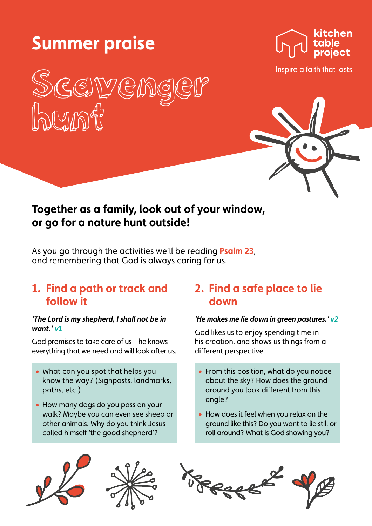# **Summer praise**





Inspire a faith that lasts

# **Together as a family, look out of your window, or go for a nature hunt outside!**

As you go through the activities we'll be reading **Psalm 23**, and remembering that God is always caring for us.

### **1. Find a path or track and follow it**

#### *'The Lord is my shepherd, I shall not be in want.' v1*

God promises to take care of us – he knows everything that we need and will look after us.

- What can you spot that helps you know the way? (Signposts, landmarks, paths, etc.)
- How many dogs do you pass on your walk? Maybe you can even see sheep or other animals. Why do you think Jesus called himself 'the good shepherd'?

# **2. Find a safe place to lie down**

#### *'He makes me lie down in green pastures.' v2*

God likes us to enjoy spending time in his creation, and shows us things from a different perspective.

- From this position, what do you notice about the sky? How does the ground around you look different from this angle?
- How does it feel when you relax on the ground like this? Do you want to lie still or roll around? What is God showing you?





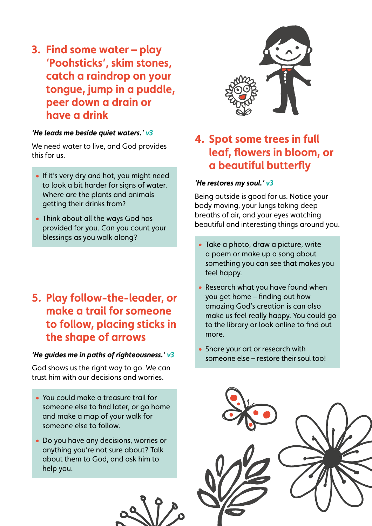**3. Find some water – play 'Poohsticks', skim stones, catch a raindrop on your tongue, jump in a puddle, peer down a drain or have a drink**

#### *'He leads me beside quiet waters.' v3*

We need water to live, and God provides this for us.

- If it's very dry and hot, you might need to look a bit harder for signs of water. Where are the plants and animals getting their drinks from?
- Think about all the ways God has provided for you. Can you count your blessings as you walk along?

# **5. Play follow-the-leader, or make a trail for someone to follow, placing sticks in the shape of arrows**

#### *'He guides me in paths of righteousness.' v3*

God shows us the right way to go. We can trust him with our decisions and worries.

- You could make a treasure trail for someone else to find later, or go home and make a map of your walk for someone else to follow.
- Do you have any decisions, worries or anything you're not sure about? Talk about them to God, and ask him to help you.





# **4. Spot some trees in full leaf, flowers in bloom, or a beautiful butterfly**

#### *'He restores my soul.' v3*

Being outside is good for us. Notice your body moving, your lungs taking deep breaths of air, and your eyes watching beautiful and interesting things around you.

- Take a photo, draw a picture, write a poem or make up a song about something you can see that makes you feel happy.
- Research what you have found when you get home – finding out how amazing God's creation is can also make us feel really happy. You could go to the library or look online to find out more.
- Share your art or research with someone else – restore their soul too!